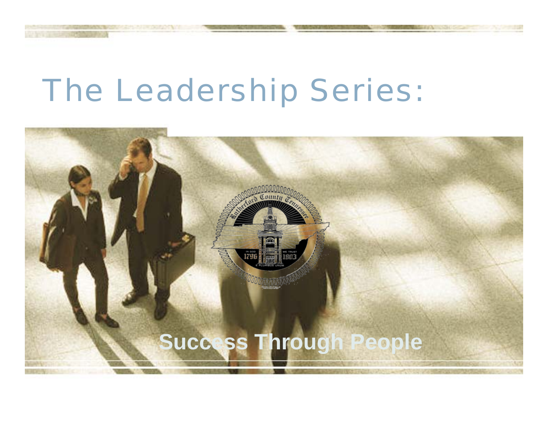# The Leadership Series:

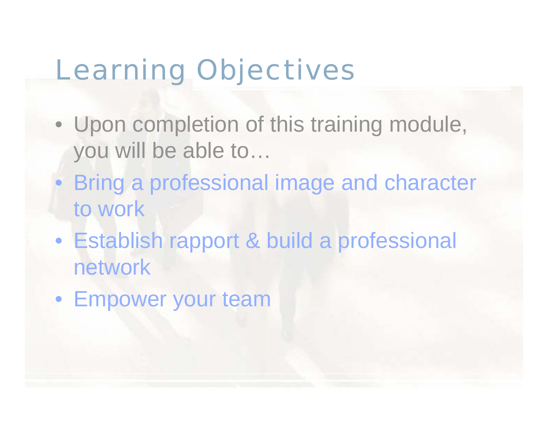# Learning Objectives

- Upon completion of this training module, you will be able to…
- Bring a professional image and character to work
- Establish rapport & build a professional network
- Empower your team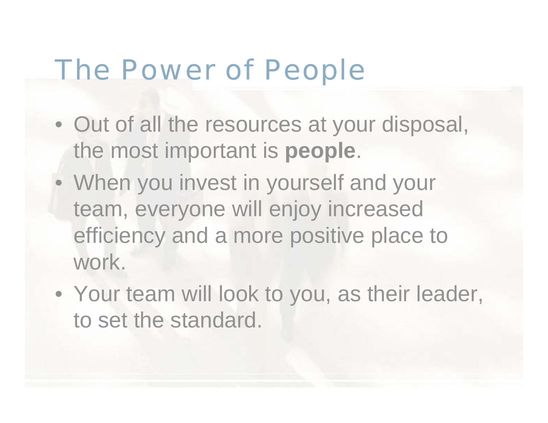## The Power of People

- Out of all the resources at your disposal, the most important is **people**.
- When you invest in yourself and your team, everyone will enjoy increased efficiency and a more positive place to work.
- Your team will look to you, as their leader, to set the standard.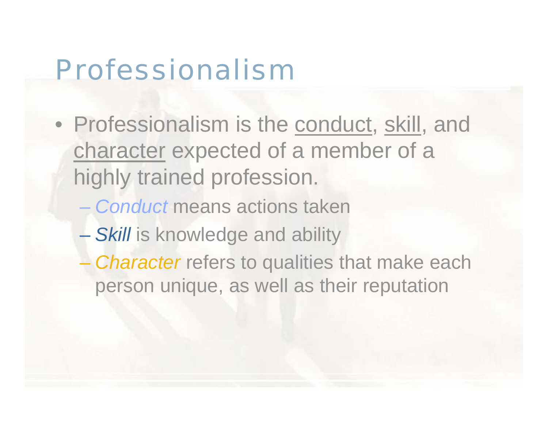### Professionalism

- Professionalism is the conduct, skill, and character expected of a member of a highly trained profession.
	- *Conduct* means actions taken
	- and the contract of the con-*Skill* is knowledge and ability
	- *Character* refers to qualities that make each person unique, as well as their reputation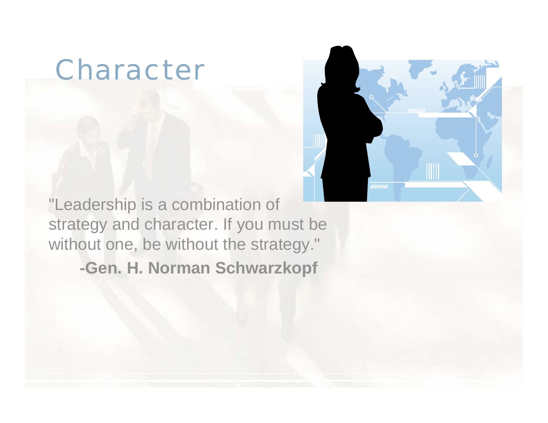### Character



"Leadership is a combination of strategy and character. If you must be without one, be without the strategy." **-Gen. H. Norman Schwarzkopf**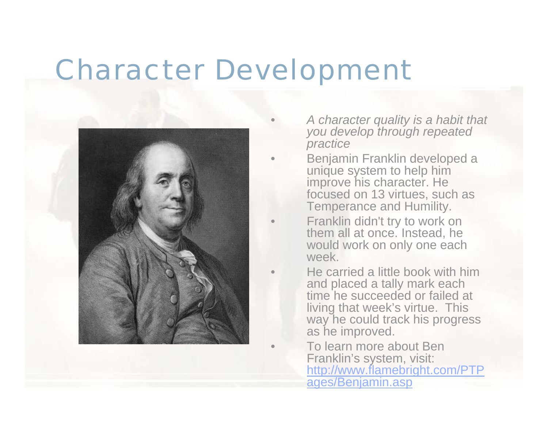#### Character Development

•

•

•

•

•



 *A character quality is a habit that you develop through repeated practice*

- Benjamin Franklin developed a unique system to help him improve his character. He focused on 13 virtues, such as Temperance and Humility.
	- Franklin didn't try to work on them all at once. Instead, he would work on only one each week.
	- He carried a little book with him and placed a tally mark each time he succeeded or failed at living that week's virtue. This way he could track his progress as he improved.

 To learn more about Ben Franklin's system, visit: [http://www.flamebright.com/PTP](http://www.flamebright.com/PTPages/Benjamin.asp) [ages/Benjamin.asp](http://www.flamebright.com/PTPages/Benjamin.asp)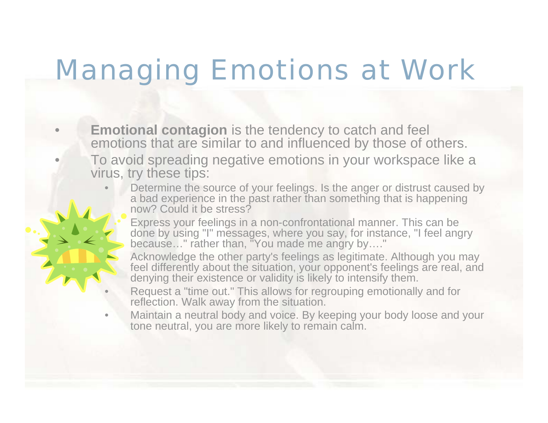# Managing Emotions at Work

• **Emotional contagion** is the tendency to catch and feel emotions that are similar to and influenced by those of others.  $\bullet$  To avoid spreading negative emotions in your workspace like a virus, try these tips:

•

•

•

- • Determine the source of your feelings. Is the anger or distrust caused by a bad experience in the past rather than something that is happening now? Could it be stress?
	- Express your feelings in a non-confrontational manner. This can be done by using "I" messages, where you say, for instance, "I feel angry because…" rather than, "You made me angry by…."
	- Acknowledge the other party's feelings as legitimate. Although you may feel differently about the situation, your opponent's feelings are real, and denying their existence or validity is likely to intensify them.
	- Request a "time out." This allows for regrouping emotionally and for reflection. Walk away from the situation.
- • Maintain a neutral body and voice. By keeping your body loose and your tone neutral, you are more likely to remain calm.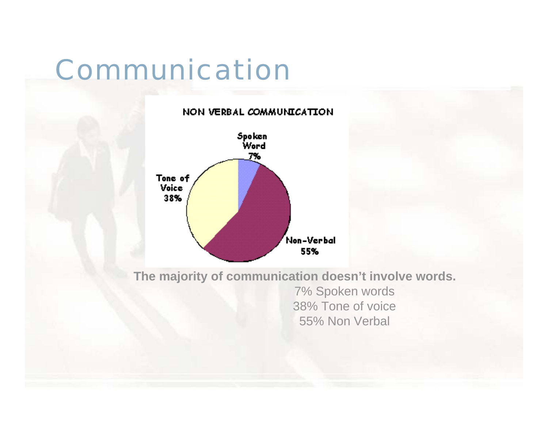## Communication

NON VERBAL COMMUNICATION



**The majority of communication doesn't involve words.** 7% Spoken words 38% Tone of voice 55% Non Verbal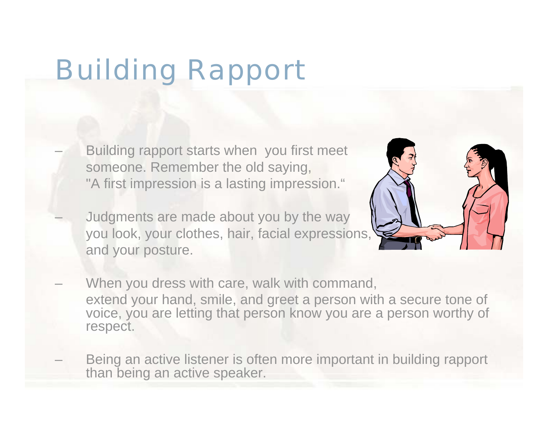# Building Rapport

- Building rapport starts when you first meet someone. Remember the old saying, "A first impression is a lasting impression."
	- Judgments are made about you by the way you look, your clothes, hair, facial expressions, and your posture.



- When you dress with care, walk with command, extend your hand, smile, and greet a person with a secure tone of voice, you are letting that person know you are a person worthy of respect.
- Being an active listener is often more important in building rapport than being an active speaker.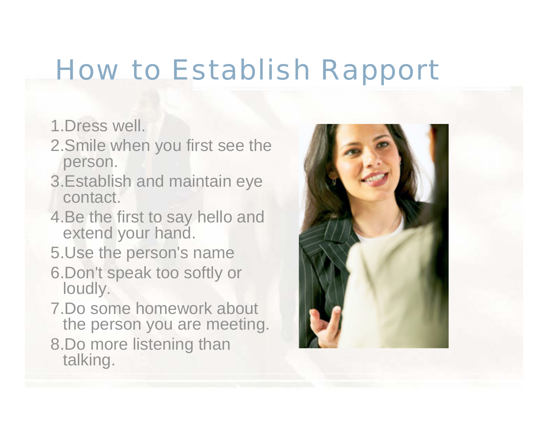# How to Establish Rapport

1.Dress well.

- 2.Smile when you first see the person.
- 3.Establish and maintain eye contact.
- 4.Be the first to say hello and extend your hand.
- 5.Use the person's name
- 6.Don't speak too softly or loudly.
- 7.Do some homework about the person you are meeting.
- 8.Do more listening than talking.

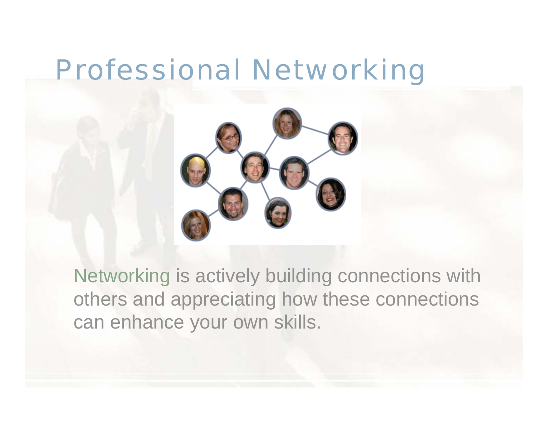# Professional Networking



Networking is actively building connections with others and appreciating how these connections can enhance your own skills.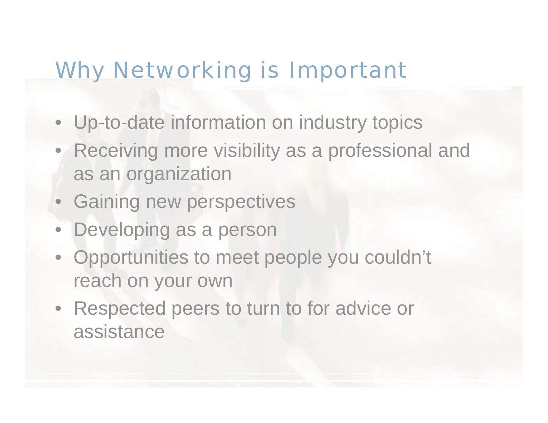#### Why Networking is Important

- Up-to-date information on industry topics
- Receiving more visibility as a professional and as an organization
- Gaining new perspectives
- Developing as a person
- Opportunities to meet people you couldn't reach on your own
- Respected peers to turn to for advice or assistance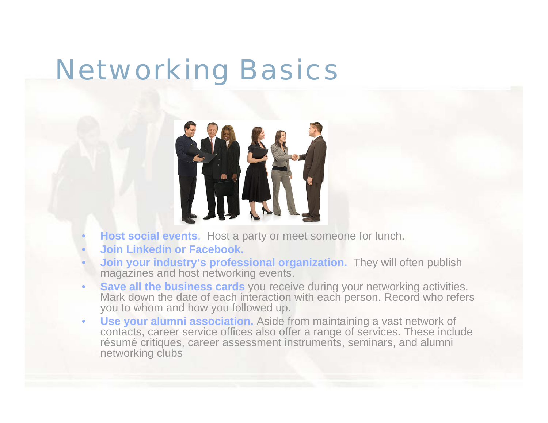### Networking Basics



- •**Host social events**. Host a party or meet someone for lunch.
- •**Join Linkedin or Facebook.**
- • **Join your industry's professional organization.** They will often publish magazines and host networking events.
- $\bullet$ **Save all the business cards** you receive during your networking activities. Mark down the date of each interaction with each person. Record who refers you to whom and how you followed up.
- $\bullet$  **Use your alumni association.** Aside from maintaining a vast network of contacts, career service offices also offer a range of services. These include résumé critiques, career assessment instruments, seminars, and alumni networking clubs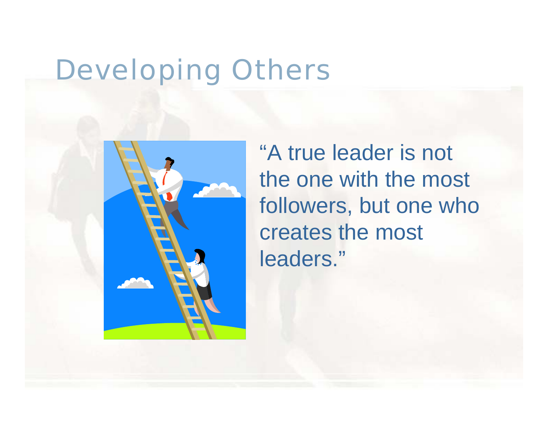# Developing Others



"A true leader is not the one with the most followers, but one who creates the most leaders."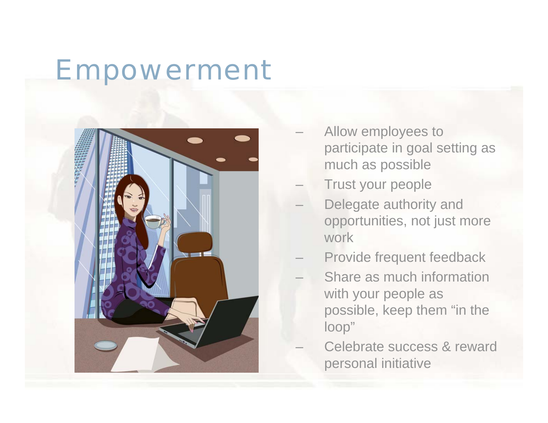### Empowerment



- Allow employees to participate in goal setting as much as possible
- Trust your people
- Delegate authority and opportunities, not just more work
- Provide frequent feedback
- Share as much information with your people as possible, keep them "in the loop"
- Celebrate success & reward personal initiative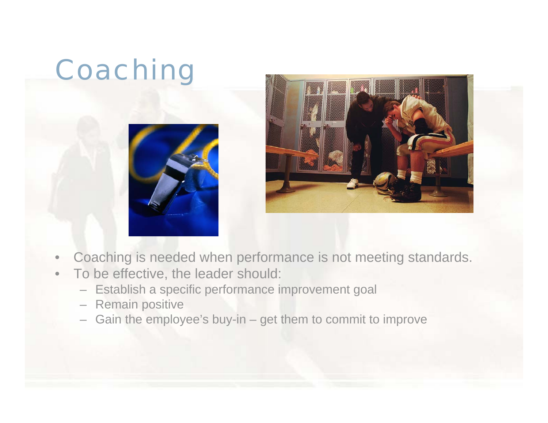# Coaching





- $\bullet$ Coaching is needed when performance is not meeting standards.
- $\bullet$  To be effective, the leader should:
	- Establish a specific performance improvement goal
	- Remain positive
	- Gain the employee's buy-in get them to commit to improve